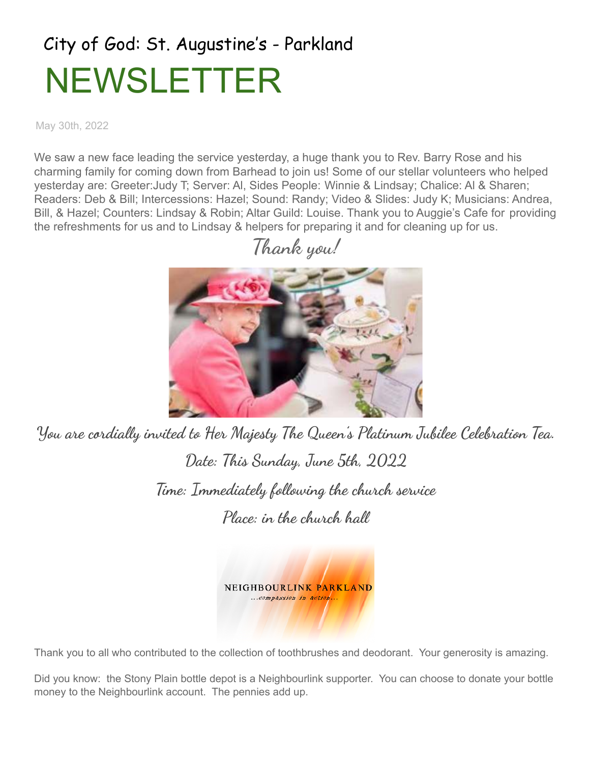# City of God: St. Augustine's - Parkland NEWSLETTER

May 30th, 2022

We saw a new face leading the service yesterday, a huge thank you to Rev. Barry Rose and his charming family for coming down from Barhead to join us! Some of our stellar volunteers who helped yesterday are: Greeter:Judy T; Server: Al, Sides People: Winnie & Lindsay; Chalice: Al & Sharen; Readers: Deb & Bill; Intercessions: Hazel; Sound: Randy; Video & Slides: Judy K; Musicians: Andrea, Bill, & Hazel; Counters: Lindsay & Robin; Altar Guild: Louise. Thank you to Auggie's Cafe for providing the refreshments for us and to Lindsay & helpers for preparing it and for cleaning up for us.



You are cordially invited to Her Majesty The Queen's Platinum Jubilee Celebration Tea. Date: This Sunday, June 5th, 2022 Time: Immediately following the church service Place: in the church hall



Thank you to all who contributed to the collection of toothbrushes and deodorant. Your generosity is amazing.

Did you know: the Stony Plain bottle depot is a Neighbourlink supporter. You can choose to donate your bottle money to the Neighbourlink account. The pennies add up.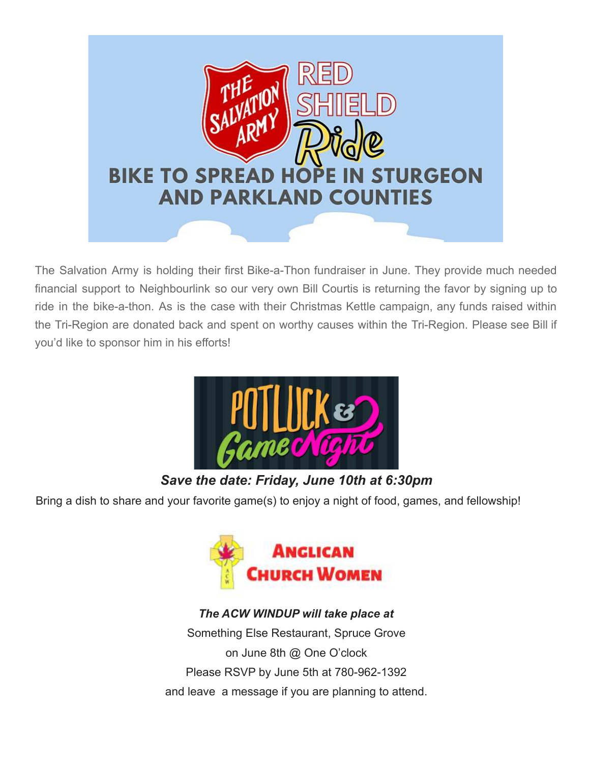

The Salvation Army is holding their first Bike-a-Thon fundraiser in June. They provide much needed financial support to Neighbourlink so our very own Bill Courtis is returning the favor by signing up to ride in the bike-a-thon. As is the case with their Christmas Kettle campaign, any funds raised within the Tri-Region are donated back and spent on worthy causes within the Tri-Region. Please see Bill if you'd like to sponsor him in his efforts!



### *Save the date: Friday, June 10th at 6:30pm*

Bring a dish to share and your favorite game(s) to enjoy a night of food, games, and fellowship!



#### *The ACW WINDUP will take place at*

Something Else Restaurant, Spruce Grove on June 8th @ One O'clock Please RSVP by June 5th at 780-962-1392 and leave a message if you are planning to attend.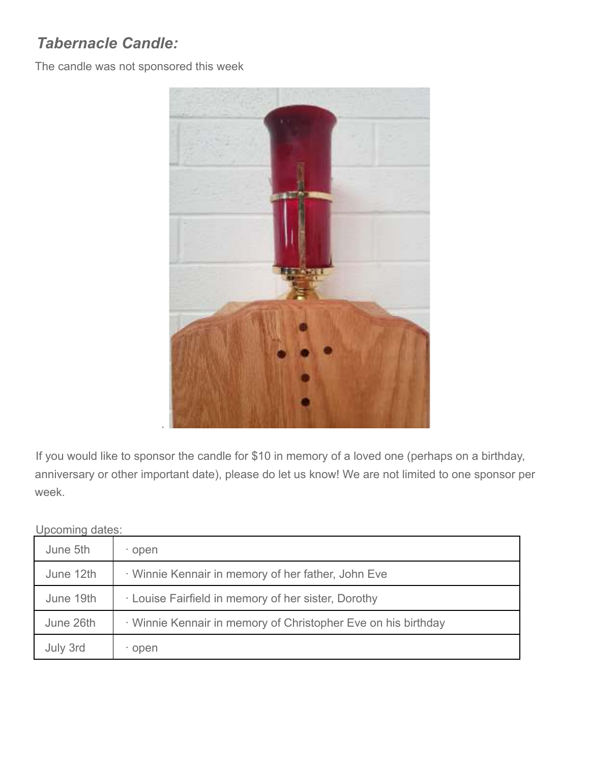# *Tabernacle Candle:*

The candle was not sponsored this week



If you would like to sponsor the candle for \$10 in memory of a loved one (perhaps on a birthday, anniversary or other important date), please do let us know! We are not limited to one sponsor per week.

Upcoming dates:

| June 5th  | · open                                                        |
|-----------|---------------------------------------------------------------|
| June 12th | · Winnie Kennair in memory of her father, John Eve            |
| June 19th | · Louise Fairfield in memory of her sister, Dorothy           |
| June 26th | · Winnie Kennair in memory of Christopher Eve on his birthday |
| July 3rd  | · open                                                        |